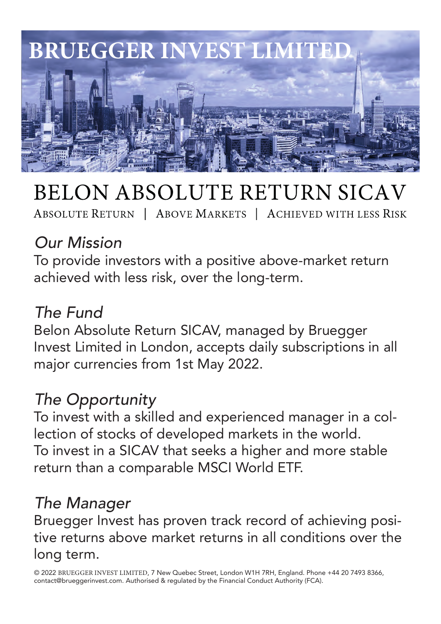

# **BELON ABSOLUTE RETURN SICAV**

ABSOLUTE RETURN | ABOVE MARKETS | ACHIEVED WITH LESS RISK

## Our Mission

To provide investors with a positive above-market return achieved with less risk, over the long-term.

#### The Fund

Belon Absolute Return SICAV, managed by Bruegger Invest Limited in London, accepts daily subscriptions in all major currencies from 1st May 2022.

### The Opportunity

To invest with a skilled and experienced manager in a collection of stocks of developed markets in the world. To invest in a SICAV that seeks a higher and more stable return than a comparable MSCI World ETF.

### The Manager

Bruegger Invest has proven track record of achieving positive returns above market returns in all conditions over the long term.